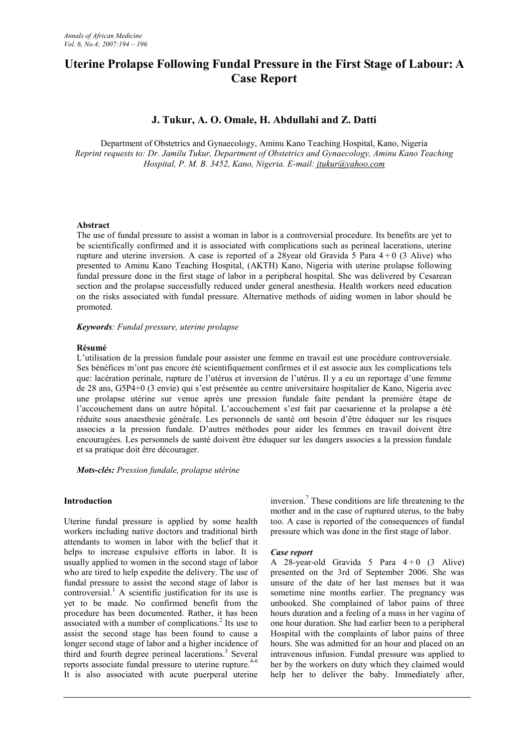# **Uterine Prolapse Following Fundal Pressure in the First Stage of Labour: A Case Report**

# **J. Tukur, A. O. Omale, H. Abdullahi and Z. Datti**

Department of Obstetrics and Gynaecology, Aminu Kano Teaching Hospital, Kano, Nigeria *Reprint requests to: Dr. Jamilu Tukur, Department of Obstetrics and Gynaecology, Aminu Kano Teaching Hospital, P. M. B. 3452, Kano, Nigeria. E-mail: jtukur@yahoo.com*

# **Abstract**

The use of fundal pressure to assist a woman in labor is a controversial procedure. Its benefits are yet to be scientifically confirmed and it is associated with complications such as perineal lacerations, uterine rupture and uterine inversion. A case is reported of a 28year old Gravida 5 Para  $4+0$  (3 Alive) who presented to Aminu Kano Teaching Hospital, (AKTH) Kano, Nigeria with uterine prolapse following fundal pressure done in the first stage of labor in a peripheral hospital. She was delivered by Cesarean section and the prolapse successfully reduced under general anesthesia. Health workers need education on the risks associated with fundal pressure. Alternative methods of aiding women in labor should be promoted.

#### *Keywords: Fundal pressure, uterine prolapse*

#### **Résumé**

L'utilisation de la pression fundale pour assister une femme en travail est une procédure controversiale. Ses bénéfices m'ont pas encore été scientifiquement confirmes et il est associe aux les complications tels que: lacération perinale, rupture de l'utérus et inversion de l'utérus. Il y a eu un reportage d'une femme de 28 ans, G5P4+0 (3 envie) qui s'est présentée au centre universitaire hospitalier de Kano, Nigeria avec une prolapse utérine sur venue après une pression fundale faite pendant la première étape de l'accouchement dans un autre hôpital. L'accouchement s'est fait par caesarienne et la prolapse a été réduite sous anaesthesie générale. Les personnels de santé ont besoin d'être éduquer sur les risques associes a la pression fundale. D'autres méthodes pour aider les femmes en travail doivent être encouragées. Les personnels de santé doivent être éduquer sur les dangers associes a la pression fundale et sa pratique doit être décourager.

*Mots-clés: Pression fundale, prolapse utérine*

# **Introduction**

Uterine fundal pressure is applied by some health workers including native doctors and traditional birth attendants to women in labor with the belief that it helps to increase expulsive efforts in labor. It is usually applied to women in the second stage of labor who are tired to help expedite the delivery. The use of fundal pressure to assist the second stage of labor is controversial.<sup>1</sup> A scientific justification for its use is yet to be made. No confirmed benefit from the procedure has been documented. Rather, it has been associated with a number of complications.<sup>2</sup> Its use to  $\alpha$ assist the second stage has been found to cause a longer second stage of labor and a higher incidence of third and fourth degree perineal lacerations.<sup>3</sup> Several reports associate fundal pressure to uterine rupture.<sup>4-6</sup> It is also associated with acute puerperal uterine

inversion. <sup>7</sup> These conditions are life threatening to the mother and in the case of ruptured uterus, to the baby too. A case is reported of the consequences of fundal pressure which was done in the first stage of labor.

# *Case report*

A 28-year-old Gravida 5 Para  $4+0$  (3 Alive) presented on the 3rd of September 2006. She was unsure of the date of her last menses but it was sometime nine months earlier. The pregnancy was unbooked. She complained of labor pains of three hours duration and a feeling of a mass in her vagina of one hour duration. She had earlier been to a peripheral Hospital with the complaints of labor pains of three hours. She was admitted for an hour and placed on an intravenous infusion. Fundal pressure was applied to her by the workers on duty which they claimed would help her to deliver the baby. Immediately after,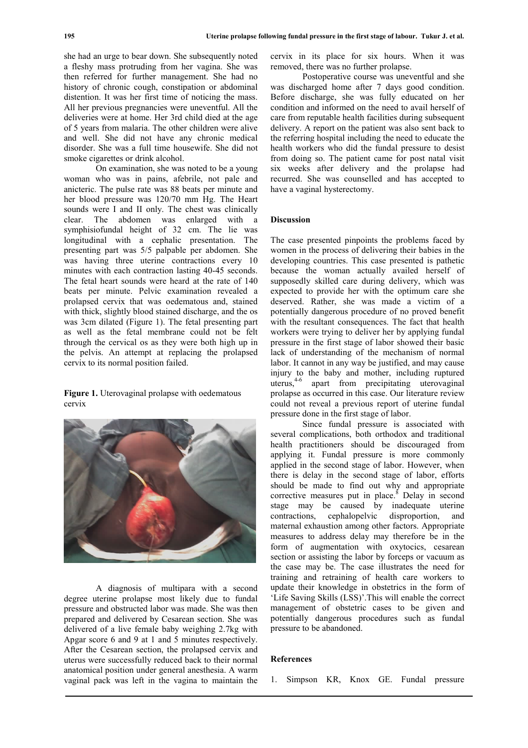she had an urge to bear down. She subsequently noted a fleshy mass protruding from her vagina. She was then referred for further management. She had no history of chronic cough, constipation or abdominal distention. It was her first time of noticing the mass. All her previous pregnancies were uneventful. All the deliveries were at home. Her 3rd child died at the age of 5 years from malaria. The other children were alive and well. She did not have any chronic medical disorder. She was a full time housewife. She did not smoke cigarettes or drink alcohol.

On examination, she was noted to be a young woman who was in pains, afebrile, not pale and anicteric. The pulse rate was 88 beats per minute and her blood pressure was 120/70 mm Hg. The Heart sounds were I and II only. The chest was clinically clear. The abdomen was enlarged with a symphisiofundal height of 32 cm. The lie was longitudinal with a cephalic presentation. The presenting part was 5/5 palpable per abdomen. She was having three uterine contractions every 10 minutes with each contraction lasting 40-45 seconds. The fetal heart sounds were heard at the rate of 140 beats per minute. Pelvic examination revealed a prolapsed cervix that was oedematous and, stained with thick, slightly blood stained discharge, and the os was 3cm dilated (Figure 1). The fetal presenting part as well as the fetal membrane could not be felt through the cervical os as they were both high up in the pelvis. An attempt at replacing the prolapsed cervix to its normal position failed.

**Figure 1.** Uterovaginal prolapse with oedematous cervix



A diagnosis of multipara with a second degree uterine prolapse most likely due to fundal pressure and obstructed labor was made. She was then prepared and delivered by Cesarean section. She was delivered of a live female baby weighing 2.7kg with Apgar score 6 and 9 at 1 and 5 minutes respectively. After the Cesarean section, the prolapsed cervix and uterus were successfully reduced back to their normal anatomical position under general anesthesia. A warm vaginal pack was left in the vagina to maintain the

cervix in its place for six hours. When it was removed, there was no further prolapse.

Postoperative course was uneventful and she was discharged home after 7 days good condition. Before discharge, she was fully educated on her condition and informed on the need to avail herself of care from reputable health facilities during subsequent delivery. A report on the patient was also sent back to the referring hospital including the need to educate the health workers who did the fundal pressure to desist from doing so. The patient came for post natal visit six weeks after delivery and the prolapse had recurred. She was counselled and has accepted to have a vaginal hysterectomy.

# **Discussion**

The case presented pinpoints the problems faced by women in the process of delivering their babies in the developing countries. This case presented is pathetic because the woman actually availed herself of supposedly skilled care during delivery, which was expected to provide her with the optimum care she deserved. Rather, she was made a victim of a potentially dangerous procedure of no proved benefit with the resultant consequences. The fact that health workers were trying to deliver her by applying fundal pressure in the first stage of labor showed their basic lack of understanding of the mechanism of normal labor. It cannot in any way be justified, and may cause injury to the baby and mother, including ruptured uterus,4-6 apart from precipitating uterovaginal prolapse as occurred in this case. Our literature review could not reveal a previous report of uterine fundal pressure done in the first stage of labor.

Since fundal pressure is associated with several complications, both orthodox and traditional health practitioners should be discouraged from applying it. Fundal pressure is more commonly applied in the second stage of labor. However, when there is delay in the second stage of labor, efforts should be made to find out why and appropriate corrective measures put in place.<sup>8</sup> Delay in second stage may be caused by inadequate uterine contractions, cephalopelvic disproportion, and maternal exhaustion among other factors. Appropriate measures to address delay may therefore be in the form of augmentation with oxytocics, cesarean section or assisting the labor by forceps or vacuum as the case may be. The case illustrates the need for training and retraining of health care workers to update their knowledge in obstetrics in the form of 'Life Saving Skills (LSS)'.This will enable the correct management of obstetric cases to be given and potentially dangerous procedures such as fundal pressure to be abandoned.

#### **References**

1. Simpson KR, Knox GE. Fundal pressure